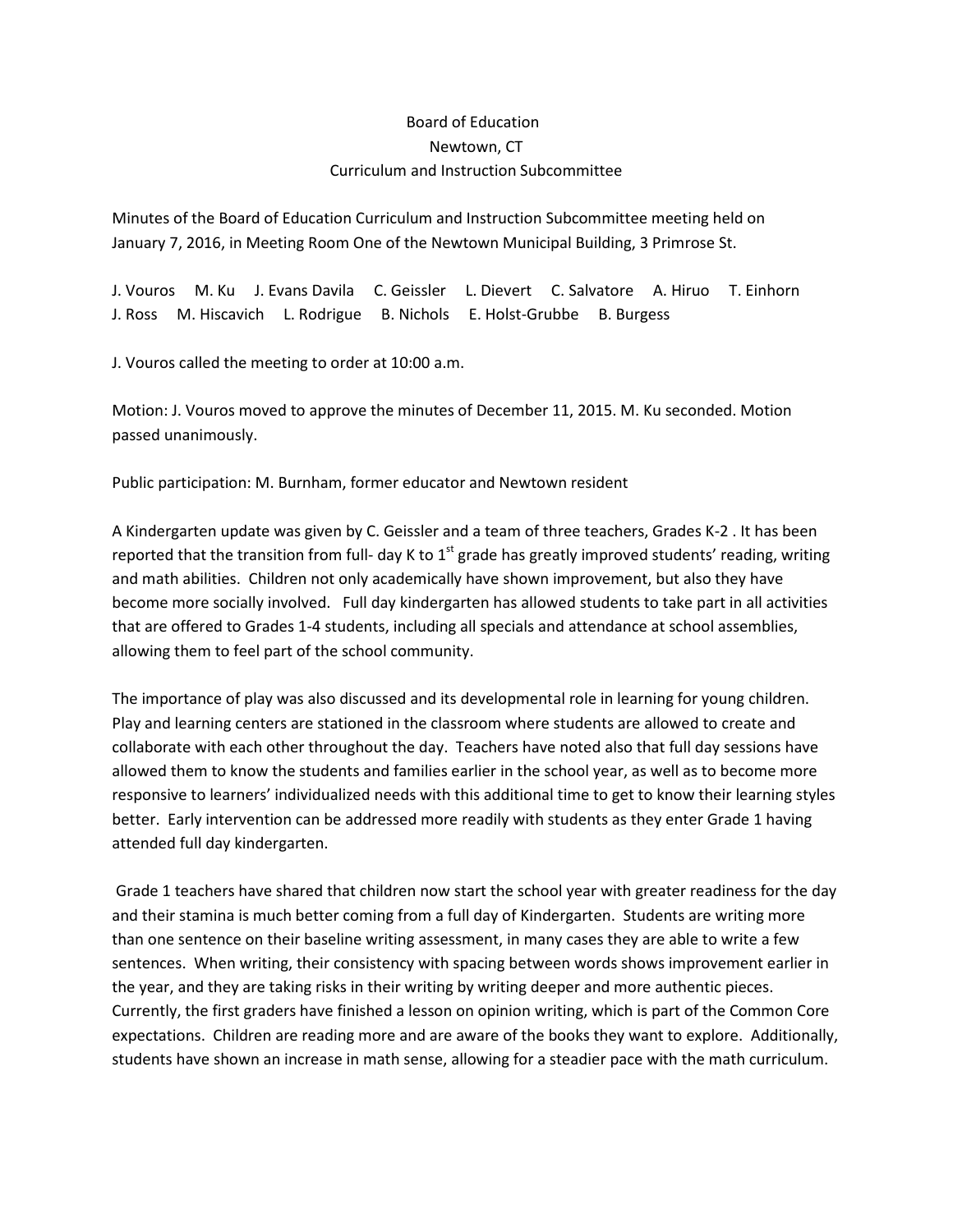## Board of Education Newtown, CT Curriculum and Instruction Subcommittee

Minutes of the Board of Education Curriculum and Instruction Subcommittee meeting held on January 7, 2016, in Meeting Room One of the Newtown Municipal Building, 3 Primrose St.

J. Vouros M. Ku J. Evans Davila C. Geissler L. Dievert C. Salvatore A. Hiruo T. Einhorn J. Ross M. Hiscavich L. Rodrigue B. Nichols E. Holst-Grubbe B. Burgess

J. Vouros called the meeting to order at 10:00 a.m.

Motion: J. Vouros moved to approve the minutes of December 11, 2015. M. Ku seconded. Motion passed unanimously.

Public participation: M. Burnham, former educator and Newtown resident

A Kindergarten update was given by C. Geissler and a team of three teachers, Grades K-2 . It has been reported that the transition from full- day K to  $1<sup>st</sup>$  grade has greatly improved students' reading, writing and math abilities. Children not only academically have shown improvement, but also they have become more socially involved. Full day kindergarten has allowed students to take part in all activities that are offered to Grades 1-4 students, including all specials and attendance at school assemblies, allowing them to feel part of the school community.

The importance of play was also discussed and its developmental role in learning for young children. Play and learning centers are stationed in the classroom where students are allowed to create and collaborate with each other throughout the day. Teachers have noted also that full day sessions have allowed them to know the students and families earlier in the school year, as well as to become more responsive to learners' individualized needs with this additional time to get to know their learning styles better. Early intervention can be addressed more readily with students as they enter Grade 1 having attended full day kindergarten.

Grade 1 teachers have shared that children now start the school year with greater readiness for the day and their stamina is much better coming from a full day of Kindergarten. Students are writing more than one sentence on their baseline writing assessment, in many cases they are able to write a few sentences. When writing, their consistency with spacing between words shows improvement earlier in the year, and they are taking risks in their writing by writing deeper and more authentic pieces. Currently, the first graders have finished a lesson on opinion writing, which is part of the Common Core expectations. Children are reading more and are aware of the books they want to explore. Additionally, students have shown an increase in math sense, allowing for a steadier pace with the math curriculum.